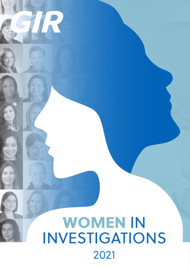## **WOMEN IN INVESTIGATIONS** 2021

R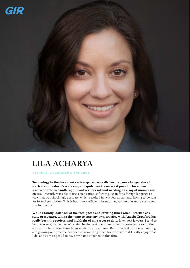

## **LILA ACHARYA**

**PARTNER | CRAWFORD & ACHARYA**

**Technology in the document review space has really been a game changer since I started as litigator 15 years ago, and quite frankly makes it possible for a firm our size to be able to handle significant reviews without needing an army of junior associates.** I recently was able to use a translation software plug-in for a foreign language review that was shockingly accurate, which resulted in very few documents having to be sent for formal translation. This is both more efficient for us as lawyers and far more cost-effective for clients.

**While I fondly look back at the face-paced and exciting times when I worked as a state prosecutor, taking the jump to start my own practice with Angela Crawford has really been the professional highlight of my career to date.** Like most lawyers, I tend to be risk-averse, so the idea of leaving behind a stable career as an in-house anti-corruption attorney to build something from scratch was terrifying. But the actual process of building and growing our practice has been so rewarding. I can honestly say that I really enjoy what I do, and I am so proud to have my name attached to this firm.